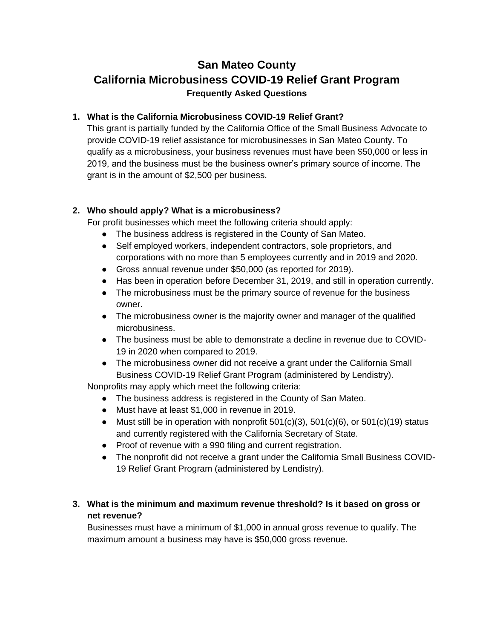# **San Mateo County California Microbusiness COVID-19 Relief Grant Program Frequently Asked Questions**

## **1. What is the California Microbusiness COVID-19 Relief Grant?**

This grant is partially funded by the California Office of the Small Business Advocate to provide COVID-19 relief assistance for microbusinesses in San Mateo County. To qualify as a microbusiness, your business revenues must have been \$50,000 or less in 2019, and the business must be the business owner's primary source of income. The grant is in the amount of \$2,500 per business.

## **2. Who should apply? What is a microbusiness?**

For profit businesses which meet the following criteria should apply:

- The business address is registered in the County of San Mateo.
- Self employed workers, independent contractors, sole proprietors, and corporations with no more than 5 employees currently and in 2019 and 2020.
- Gross annual revenue under \$50,000 (as reported for 2019).
- Has been in operation before December 31, 2019, and still in operation currently.
- The microbusiness must be the primary source of revenue for the business owner.
- The microbusiness owner is the majority owner and manager of the qualified microbusiness.
- The business must be able to demonstrate a decline in revenue due to COVID-19 in 2020 when compared to 2019.
- The microbusiness owner did not receive a grant under the California Small Business COVID-19 Relief Grant Program (administered by Lendistry).

Nonprofits may apply which meet the following criteria:

- The business address is registered in the County of San Mateo.
- Must have at least \$1,000 in revenue in 2019.
- Must still be in operation with nonprofit  $501(c)(3)$ ,  $501(c)(6)$ , or  $501(c)(19)$  status and currently registered with the California Secretary of State.
- Proof of revenue with a 990 filing and current registration.
- The nonprofit did not receive a grant under the California Small Business COVID-19 Relief Grant Program (administered by Lendistry).

# **3. What is the minimum and maximum revenue threshold? Is it based on gross or net revenue?**

Businesses must have a minimum of \$1,000 in annual gross revenue to qualify. The maximum amount a business may have is \$50,000 gross revenue.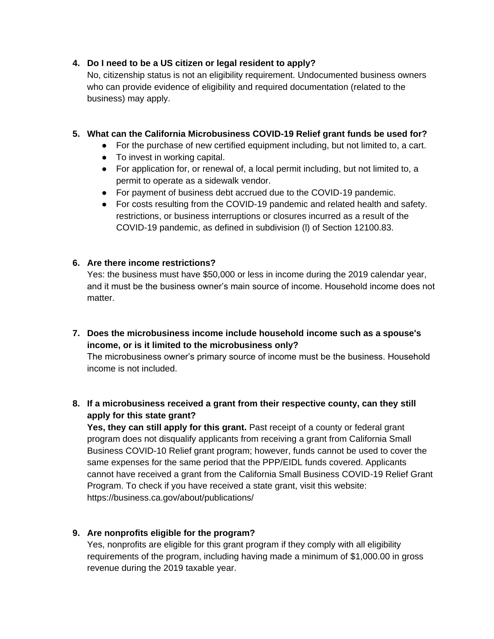## **4. Do I need to be a US citizen or legal resident to apply?**

No, citizenship status is not an eligibility requirement. Undocumented business owners who can provide evidence of eligibility and required documentation (related to the business) may apply.

## **5. What can the California Microbusiness COVID-19 Relief grant funds be used for?**

- For the purchase of new certified equipment including, but not limited to, a cart.
- To invest in working capital.
- For application for, or renewal of, a local permit including, but not limited to, a permit to operate as a sidewalk vendor.
- For payment of business debt accrued due to the COVID-19 pandemic.
- For costs resulting from the COVID-19 pandemic and related health and safety. restrictions, or business interruptions or closures incurred as a result of the COVID-19 pandemic, as defined in subdivision (l) of Section 12100.83.

## **6. Are there income restrictions?**

Yes: the business must have \$50,000 or less in income during the 2019 calendar year, and it must be the business owner's main source of income. Household income does not matter.

**7. Does the microbusiness income include household income such as a spouse's income, or is it limited to the microbusiness only?**

The microbusiness owner's primary source of income must be the business. Household income is not included.

# **8. If a microbusiness received a grant from their respective county, can they still apply for this state grant?**

**Yes, they can still apply for this grant.** Past receipt of a county or federal grant program does not disqualify applicants from receiving a grant from California Small Business COVID-10 Relief grant program; however, funds cannot be used to cover the same expenses for the same period that the PPP/EIDL funds covered. Applicants cannot have received a grant from the California Small Business COVID-19 Relief Grant Program. To check if you have received a state grant, visit this website: https://business.ca.gov/about/publications/

## **9. Are nonprofits eligible for the program?**

Yes, nonprofits are eligible for this grant program if they comply with all eligibility requirements of the program, including having made a minimum of \$1,000.00 in gross revenue during the 2019 taxable year.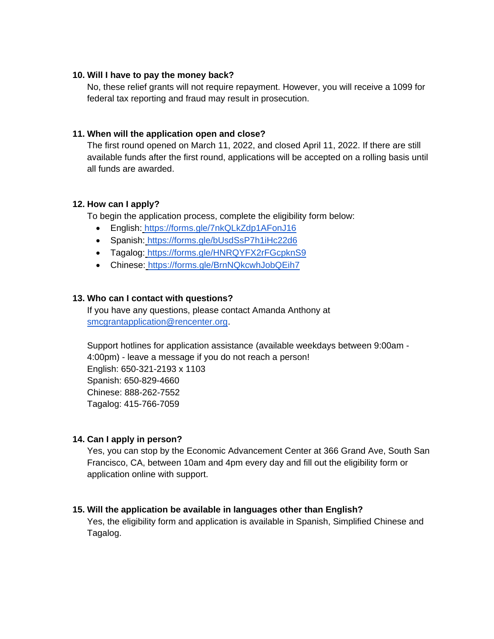#### **10. Will I have to pay the money back?**

No, these relief grants will not require repayment. However, you will receive a 1099 for federal tax reporting and fraud may result in prosecution.

#### **11. When will the application open and close?**

The first round opened on March 11, 2022, and closed April 11, 2022. If there are still available funds after the first round, applications will be accepted on a rolling basis until all funds are awarded.

#### **12. How can I apply?**

To begin the application process, complete the eligibility form below:

- English[:](https://forms.gle/7nkQLkZdp1AFonJ16) <https://forms.gle/7nkQLkZdp1AFonJ16>
- Spanish: <https://forms.gle/bUsdSsP7h1iHc22d6>
- Tagalog: <https://forms.gle/HNRQYFX2rFGcpknS9>
- Chinese: <https://forms.gle/BrnNQkcwhJobQEih7>

#### **13. Who can I contact with questions?**

If you have any questions, please contact Amanda Anthony at [smcgrantapplication@rencenter.org.](mailto:smcgrantapplication@rencenter.org)

Support hotlines for application assistance (available weekdays between 9:00am - 4:00pm) - leave a message if you do not reach a person! English: 650-321-2193 x 1103 Spanish: 650-829-4660 Chinese: 888-262-7552 Tagalog: 415-766-7059

#### **14. Can I apply in person?**

Yes, you can stop by the Economic Advancement Center at 366 Grand Ave, South San Francisco, CA, between 10am and 4pm every day and fill out the eligibility form or application online with support.

#### **15. Will the application be available in languages other than English?**

Yes, the eligibility form and application is available in Spanish, Simplified Chinese and Tagalog.